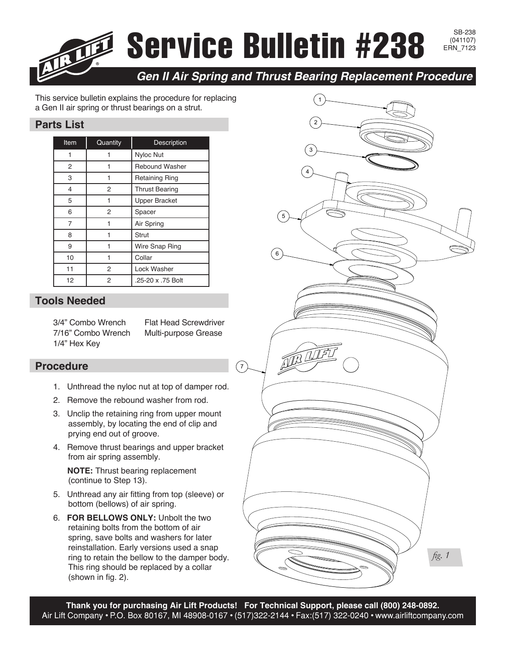## Service Bulletin #238

SB-238<br>(041107)

*Gen II Air Spring and Thrust Bearing Replacement Procedure*

This service bulletin explains the procedure for replacing a Gen II air spring or thrust bearings on a strut.

## **Parts List**

| Item | Quantity | Description           |
|------|----------|-----------------------|
|      |          | <b>Nyloc Nut</b>      |
| 2    |          | <b>Rebound Washer</b> |
| 3    |          | <b>Retaining Ring</b> |
| 4    | 2        | <b>Thrust Bearing</b> |
| 5    |          | <b>Upper Bracket</b>  |
| 6    | 2        | Spacer                |
| 7    |          | Air Spring            |
| 8    |          | Strut                 |
| 9    |          | Wire Snap Ring        |
| 10   |          | Collar                |
| 11   | 2        | Lock Washer           |
| 12   | 2        | .25-20 x .75 Bolt     |

## **Tools Needed**

3/4" Combo Wrench 7/16" Combo Wrench 1/4" Hex Key

Flat Head Screwdriver Multi-purpose Grease

## **Procedure**

- 1. Unthread the nyloc nut at top of damper rod.
- 2. Remove the rebound washer from rod.
- 3. Unclip the retaining ring from upper mount assembly, by locating the end of clip and prying end out of groove.
- 4. Remove thrust bearings and upper bracket from air spring assembly.

**NOTE:** Thrust bearing replacement (continue to Step 13).

- 5. Unthread any air fitting from top (sleeve) or bottom (bellows) of air spring.
- 6. **FOR BELLOWS ONLY:** Unbolt the two retaining bolts from the bottom of air spring, save bolts and washers for later reinstallation. Early versions used a snap ring to retain the bellow to the damper body. This ring should be replaced by a collar (shown in fig. 2).